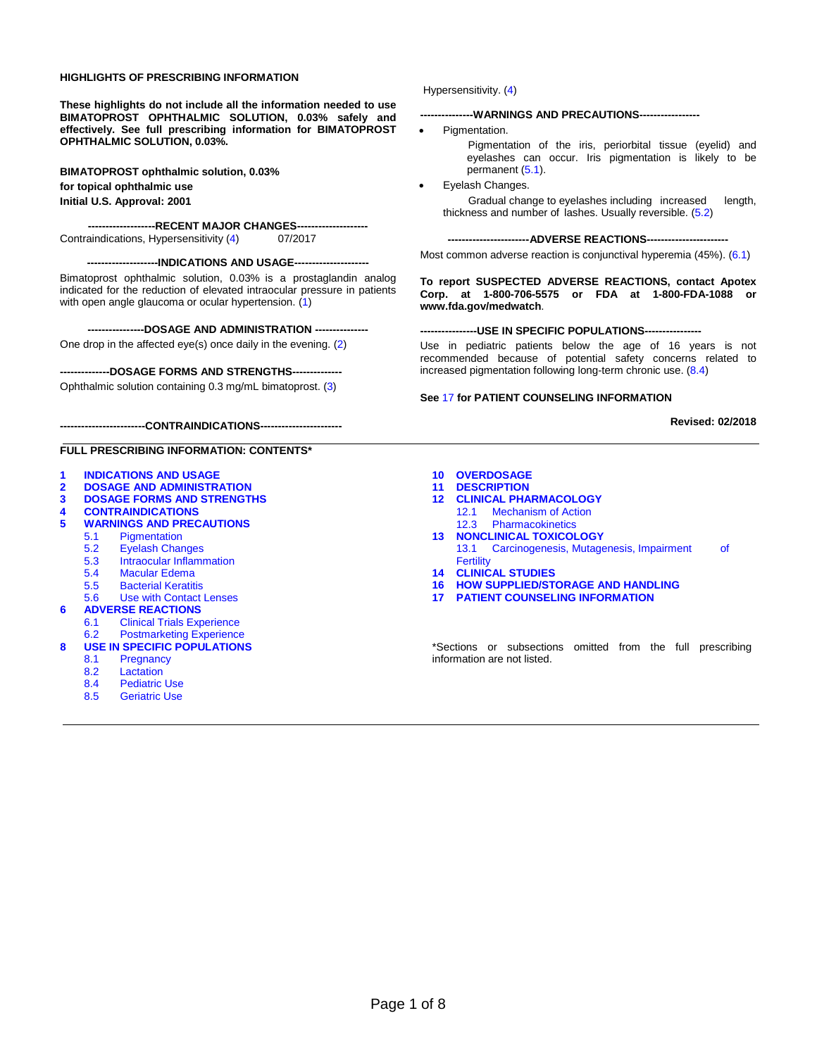#### **HIGHLIGHTS OF PRESCRIBING INFORMATION**

**These highlights do not include all the information needed to use BIMATOPROST OPHTHALMIC SOLUTION, 0.03% safely and effectively. See full prescribing information for BIMATOPROST OPHTHALMIC SOLUTION, 0.03%.**

**BIMATOPROST ophthalmic solution, 0.03% for topical ophthalmic use Initial U.S. Approval: 2001**

---RECENT MAJOR CHANGES--Contraindications, Hypersensitivity [\(4\)](#page-1-0) 07/2017

#### **--------------------INDICATIONS AND USAGE---------------------**

Bimatoprost ophthalmic solution, 0.03% is a prostaglandin analog indicated for the reduction of elevated intraocular pressure in patients with open angle glaucoma or ocular hypertension. [\(1\)](#page-1-1)

**----------------DOSAGE AND ADMINISTRATION ---------------**

One drop in the affected eye(s) once daily in the evening. [\(2\)](#page-1-2)

#### **--------------DOSAGE FORMS AND STRENGTHS--------------**

Ophthalmic solution containing 0.3 mg/mL bimatoprost. [\(3\)](#page-1-3)

**------------------------CONTRAINDICATIONS-----------------------**

#### **FULL PRESCRIBING INFORMATION: CONTENTS\***

- **[1 INDICATIONS AND USAGE](#page-1-1)**
- **[2 DOSAGE AND ADMINISTRATION](#page-1-2)**
- **[3 DOSAGE FORMS AND STRENGTHS](#page-1-3)**
- **[4 CONTRAINDICATIONS](#page-1-0)**
- **WARNINGS AND PRECAUTIONS**<br>5.1 Pigmentation
	- **Pigmentation**
	- [5.2 Eyelash Changes](#page-1-5)
	- [5.3 Intraocular Inflammation](#page-1-7)<br>5.4 Macular Edema
	-
	- [5.4 Macular Edema](#page-2-1) 5.5 [Bacterial](#page-2-2) Keratitis
- 5.6 [Use with Contact Lenses](#page-2-3)
- **[6 ADVERSE REACTIONS](#page-2-4)**<br>6.1 Clinical Trials Exp
	- **[Clinical Trials](#page-2-0) Experience**
	- 6.2 [Postmarketing Experience](#page-3-0)
- **[8 USE IN SPECIFIC POPULATIONS](#page-3-1)**<br>8.1 Pregnancy
	- **Pregnancy**
	-
	- [8.2 Lactation](#page-4-1)<br>8.4 Pediatric
	- [8.4 Pediatric Use](#page-4-0)<br>8.5 Geriatric Use **Geriatric Use**
	-

Hypersensitivity. [\(4\)](#page-1-0)

#### **---------------WARNINGS AND PRECAUTIONS-----------------**

Pigmentation.

Pigmentation of the iris, periorbital tissue (eyelid) and eyelashes can occur. Iris pigmentation is likely to be permanent [\(5.1\)](#page-1-4).

• Eyelash Changes. Gradual change to eyelashes including increased length, thickness and number of lashes. Usually reversible. [\(5.2\)](#page-1-5)

**-----------------------ADVERSE REACTIONS-----------------------**

Most common adverse reaction is conjunctival hyperemia (45%). [\(6.1\)](#page-2-0)

**To report SUSPECTED ADVERSE REACTIONS, contact Apotex Corp. at 1-800-706-5575 or FDA at 1-800-FDA-1088 or [www.fda.gov/medwatch](http://www.fda.gov/medwatch)**.

#### **----------------USE IN SPECIFIC POPULATIONS----------------**

Use in pediatric patients below the age of 16 years is not recommended because of potential safety concerns related to increased pigmentation following long-term chronic use. [\(8.4\)](#page-4-0)

#### **See** [17](#page-6-0) **for PATIENT COUNSELING INFORMATION**

#### **Revised: 02/2018**

- **[10 OVERDOSAGE](#page-4-3)**
- **[11 DESCRIPTION](#page-4-4)**
- **[12 CLINICAL PHARMACOLOGY](#page-5-0)** [12.1 Mechanism of Action](#page-5-1)
	- [12.3 Pharmacokinetics](#page-5-2)
- **13 [NONCLINICAL TOXICOLOGY](#page-6-1)** 13.1 [Carcinogenesis, Mutagenesis, Impairment of](#page-6-2)  **[Fertility](#page-6-2)**
- **[14 CLINICAL STUDIES](#page-6-3)**
- **[16 HOW SUPPLIED/STORAGE AND HANDLING](#page-6-4)**
- **17 [PATIENT COUNSELING INFORMATION](#page-6-0)**

\*Sections or subsections omitted from the full prescribing information are not listed.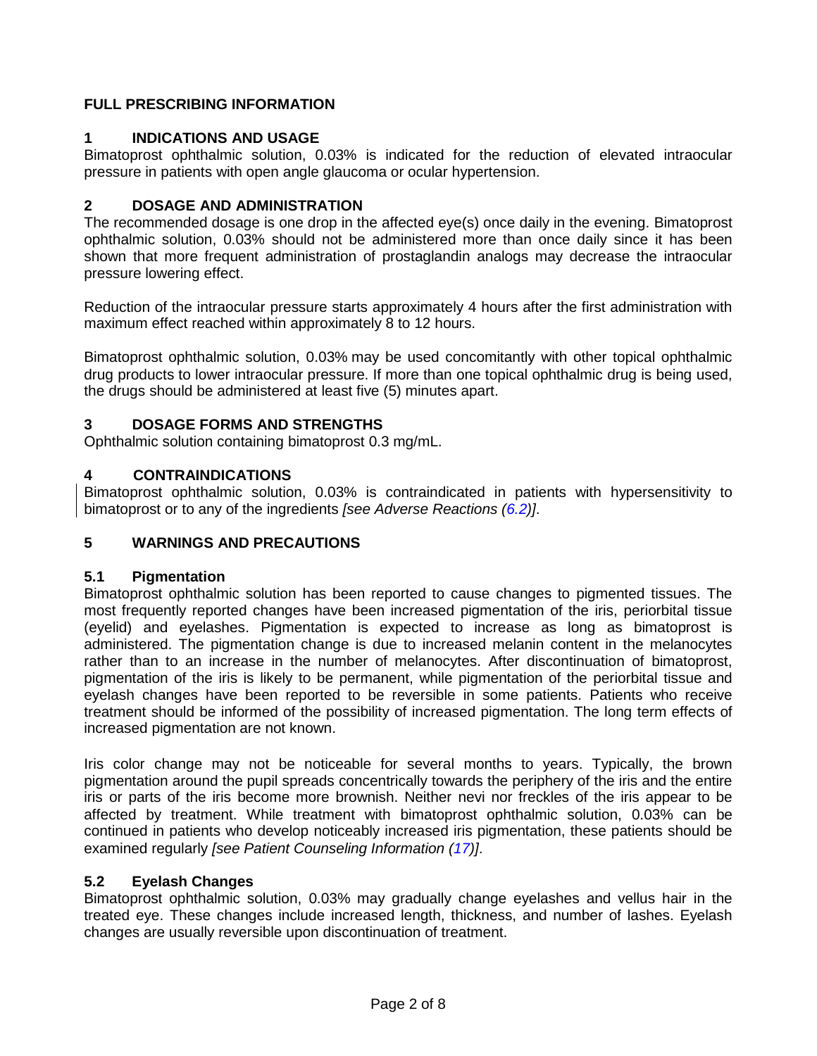# **FULL PRESCRIBING INFORMATION**

# <span id="page-1-1"></span>**1 INDICATIONS AND USAGE**

Bimatoprost ophthalmic solution, 0.03% is indicated for the reduction of elevated intraocular pressure in patients with open angle glaucoma or ocular hypertension.

# <span id="page-1-2"></span>**2 DOSAGE AND ADMINISTRATION**

The recommended dosage is one drop in the affected eye(s) once daily in the evening. Bimatoprost ophthalmic solution, 0.03% should not be administered more than once daily since it has been shown that more frequent administration of prostaglandin analogs may decrease the intraocular pressure lowering effect.

Reduction of the intraocular pressure starts approximately 4 hours after the first administration with maximum effect reached within approximately 8 to 12 hours.

Bimatoprost ophthalmic solution, 0.03% may be used concomitantly with other topical ophthalmic drug products to lower intraocular pressure. If more than one topical ophthalmic drug is being used, the drugs should be administered at least five (5) minutes apart.

# <span id="page-1-3"></span>**3 DOSAGE FORMS AND STRENGTHS**

Ophthalmic solution containing bimatoprost 0.3 mg/mL.

# <span id="page-1-0"></span>**4 CONTRAINDICATIONS**

Bimatoprost ophthalmic solution, 0.03% is contraindicated in patients with hypersensitivity to bimatoprost or to any of the ingredients *[see Adverse Reactions [\(6.2\)](#page-3-0)]*.

# <span id="page-1-6"></span>**5 WARNINGS AND PRECAUTIONS**

# <span id="page-1-4"></span>**5.1 Pigmentation**

Bimatoprost ophthalmic solution has been reported to cause changes to pigmented tissues. The most frequently reported changes have been increased pigmentation of the iris, periorbital tissue (eyelid) and eyelashes. Pigmentation is expected to increase as long as bimatoprost is administered. The pigmentation change is due to increased melanin content in the melanocytes rather than to an increase in the number of melanocytes. After discontinuation of bimatoprost, pigmentation of the iris is likely to be permanent, while pigmentation of the periorbital tissue and eyelash changes have been reported to be reversible in some patients. Patients who receive treatment should be informed of the possibility of increased pigmentation. The long term effects of increased pigmentation are not known.

Iris color change may not be noticeable for several months to years. Typically, the brown pigmentation around the pupil spreads concentrically towards the periphery of the iris and the entire iris or parts of the iris become more brownish. Neither nevi nor freckles of the iris appear to be affected by treatment. While treatment with bimatoprost ophthalmic solution, 0.03% can be continued in patients who develop noticeably increased iris pigmentation, these patients should be examined regularly *[see Patient Counseling Information [\(17\)](#page-6-0)]*.

# <span id="page-1-5"></span>**5.2 Eyelash Changes**

<span id="page-1-7"></span>Bimatoprost ophthalmic solution, 0.03% may gradually change eyelashes and vellus hair in the treated eye. These changes include increased length, thickness, and number of lashes. Eyelash changes are usually reversible upon discontinuation of treatment.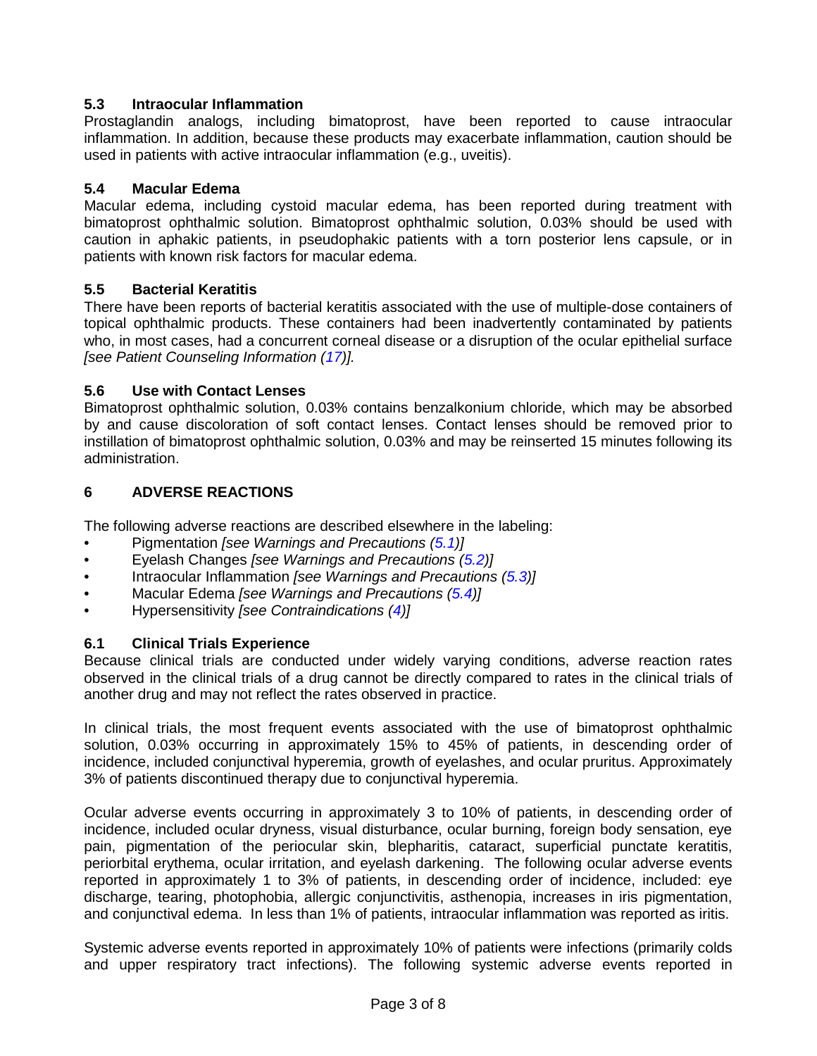## **5.3 Intraocular Inflammation**

Prostaglandin analogs, including bimatoprost, have been reported to cause intraocular inflammation. In addition, because these products may exacerbate inflammation, caution should be used in patients with active intraocular inflammation (e.g., uveitis).

## <span id="page-2-1"></span>**5.4 Macular Edema**

Macular edema, including cystoid macular edema, has been reported during treatment with bimatoprost ophthalmic solution. Bimatoprost ophthalmic solution, 0.03% should be used with caution in aphakic patients, in pseudophakic patients with a torn posterior lens capsule, or in patients with known risk factors for macular edema.

# <span id="page-2-2"></span>**5.5 Bacterial Keratitis**

There have been reports of bacterial keratitis associated with the use of multiple-dose containers of topical ophthalmic products. These containers had been inadvertently contaminated by patients who, in most cases, had a concurrent corneal disease or a disruption of the ocular epithelial surface *[see Patient Counseling Information [\(17\)](#page-6-0)].*

## <span id="page-2-3"></span>**5.6 Use with Contact Lenses**

Bimatoprost ophthalmic solution, 0.03% contains benzalkonium chloride, which may be absorbed by and cause discoloration of soft contact lenses. Contact lenses should be removed prior to instillation of bimatoprost ophthalmic solution, 0.03% and may be reinserted 15 minutes following its administration.

# <span id="page-2-4"></span>**6 ADVERSE REACTIONS**

The following adverse reactions are described elsewhere in the labeling:

- Pigmentation *[see Warnings and Precautions [\(5.1\)](#page-1-4)]*
- Eyelash Changes *[see Warnings and Precautions [\(5.2\)](#page-1-5)]*
- Intraocular Inflammation *[see Warnings and Precautions [\(5.3\)](#page-1-7)]*
- Macular Edema *[see Warnings and Precautions [\(5.4\)](#page-2-1)]*
- Hypersensitivity *[see Contraindications [\(4\)](#page-1-0)]*

# <span id="page-2-0"></span>**6.1 Clinical Trials Experience**

Because clinical trials are conducted under widely varying conditions, adverse reaction rates observed in the clinical trials of a drug cannot be directly compared to rates in the clinical trials of another drug and may not reflect the rates observed in practice.

In clinical trials, the most frequent events associated with the use of bimatoprost ophthalmic solution, 0.03% occurring in approximately 15% to 45% of patients, in descending order of incidence, included conjunctival hyperemia, growth of eyelashes, and ocular pruritus. Approximately 3% of patients discontinued therapy due to conjunctival hyperemia.

Ocular adverse events occurring in approximately 3 to 10% of patients, in descending order of incidence, included ocular dryness, visual disturbance, ocular burning, foreign body sensation, eye pain, pigmentation of the periocular skin, blepharitis, cataract, superficial punctate keratitis, periorbital erythema, ocular irritation, and eyelash darkening. The following ocular adverse events reported in approximately 1 to 3% of patients, in descending order of incidence, included: eye discharge, tearing, photophobia, allergic conjunctivitis, asthenopia, increases in iris pigmentation, and conjunctival edema. In less than 1% of patients, intraocular inflammation was reported as iritis.

Systemic adverse events reported in approximately 10% of patients were infections (primarily colds and upper respiratory tract infections). The following systemic adverse events reported in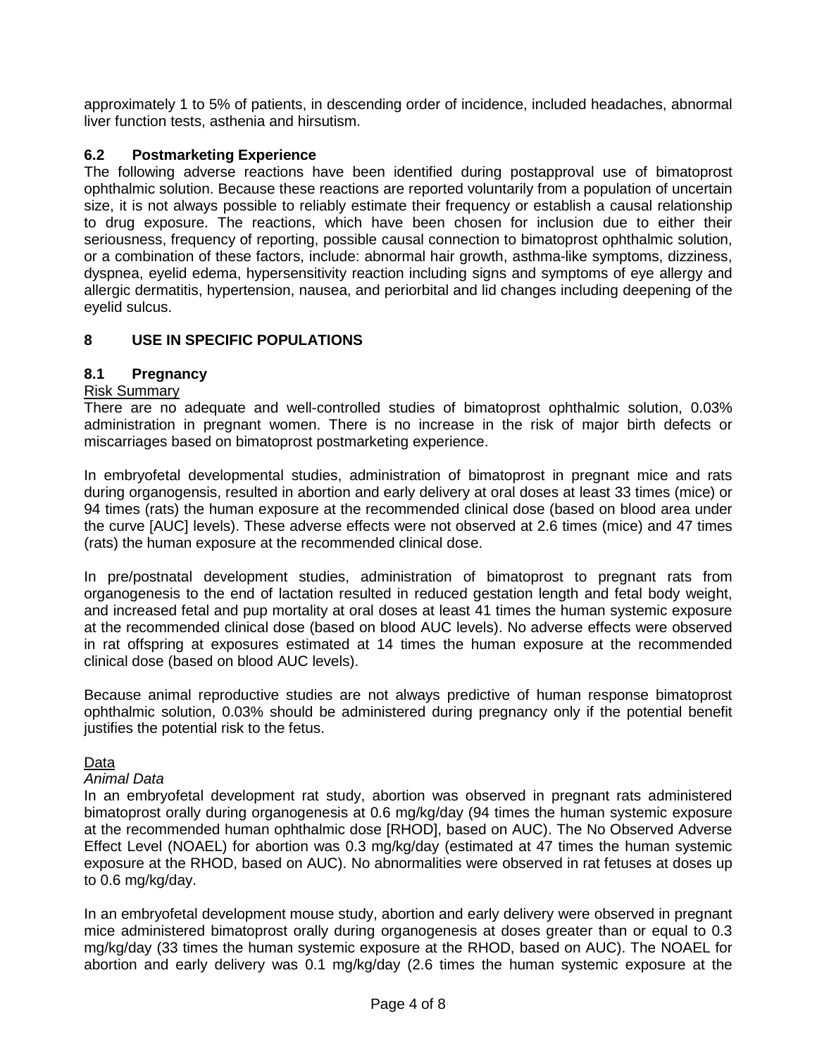approximately 1 to 5% of patients, in descending order of incidence, included headaches, abnormal liver function tests, asthenia and hirsutism.

# <span id="page-3-0"></span>**6.2 Postmarketing Experience**

The following adverse reactions have been identified during postapproval use of bimatoprost ophthalmic solution. Because these reactions are reported voluntarily from a population of uncertain size, it is not always possible to reliably estimate their frequency or establish a causal relationship to drug exposure. The reactions, which have been chosen for inclusion due to either their seriousness, frequency of reporting, possible causal connection to bimatoprost ophthalmic solution, or a combination of these factors, include: abnormal hair growth, asthma-like symptoms, dizziness, dyspnea, eyelid edema, hypersensitivity reaction including signs and symptoms of eye allergy and allergic dermatitis, hypertension, nausea, and periorbital and lid changes including deepening of the eyelid sulcus.

# <span id="page-3-1"></span>**8 USE IN SPECIFIC POPULATIONS**

## <span id="page-3-2"></span>**8.1 Pregnancy**

## Risk Summary

There are no adequate and well-controlled studies of bimatoprost ophthalmic solution, 0.03% administration in pregnant women. There is no increase in the risk of major birth defects or miscarriages based on bimatoprost postmarketing experience.

In embryofetal developmental studies, administration of bimatoprost in pregnant mice and rats during organogensis, resulted in abortion and early delivery at oral doses at least 33 times (mice) or 94 times (rats) the human exposure at the recommended clinical dose (based on blood area under the curve [AUC] levels). These adverse effects were not observed at 2.6 times (mice) and 47 times (rats) the human exposure at the recommended clinical dose.

In pre/postnatal development studies, administration of bimatoprost to pregnant rats from organogenesis to the end of lactation resulted in reduced gestation length and fetal body weight, and increased fetal and pup mortality at oral doses at least 41 times the human systemic exposure at the recommended clinical dose (based on blood AUC levels). No adverse effects were observed in rat offspring at exposures estimated at 14 times the human exposure at the recommended clinical dose (based on blood AUC levels).

Because animal reproductive studies are not always predictive of human response bimatoprost ophthalmic solution, 0.03% should be administered during pregnancy only if the potential benefit justifies the potential risk to the fetus.

## Data

#### *Animal Data*

In an embryofetal development rat study, abortion was observed in pregnant rats administered bimatoprost orally during organogenesis at 0.6 mg/kg/day (94 times the human systemic exposure at the recommended human ophthalmic dose [RHOD], based on AUC). The No Observed Adverse Effect Level (NOAEL) for abortion was 0.3 mg/kg/day (estimated at 47 times the human systemic exposure at the RHOD, based on AUC). No abnormalities were observed in rat fetuses at doses up to 0.6 mg/kg/day.

In an embryofetal development mouse study, abortion and early delivery were observed in pregnant mice administered bimatoprost orally during organogenesis at doses greater than or equal to 0.3 mg/kg/day (33 times the human systemic exposure at the RHOD, based on AUC). The NOAEL for abortion and early delivery was 0.1 mg/kg/day (2.6 times the human systemic exposure at the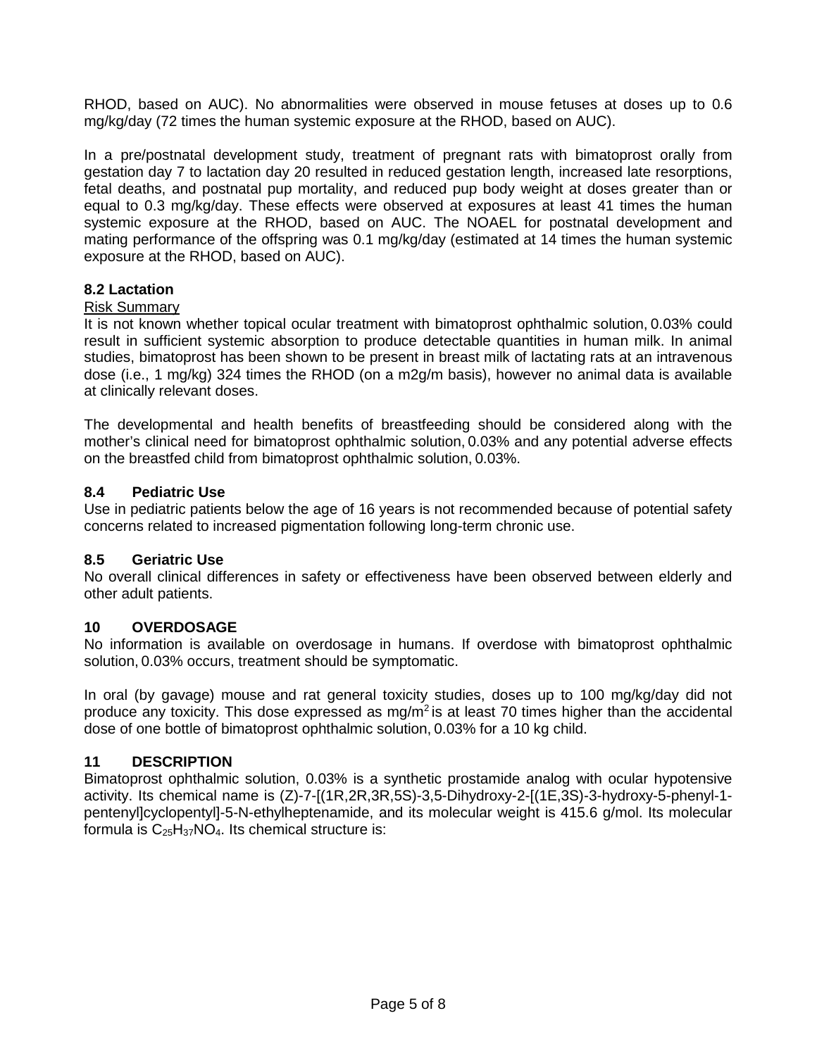RHOD, based on AUC). No abnormalities were observed in mouse fetuses at doses up to 0.6 mg/kg/day (72 times the human systemic exposure at the RHOD, based on AUC).

In a pre/postnatal development study, treatment of pregnant rats with bimatoprost orally from gestation day 7 to lactation day 20 resulted in reduced gestation length, increased late resorptions, fetal deaths, and postnatal pup mortality, and reduced pup body weight at doses greater than or equal to 0.3 mg/kg/day. These effects were observed at exposures at least 41 times the human systemic exposure at the RHOD, based on AUC. The NOAEL for postnatal development and mating performance of the offspring was 0.1 mg/kg/day (estimated at 14 times the human systemic exposure at the RHOD, based on AUC).

## <span id="page-4-1"></span>**8.2 Lactation**

#### Risk Summary

It is not known whether topical ocular treatment with bimatoprost ophthalmic solution, 0.03% could result in sufficient systemic absorption to produce detectable quantities in human milk. In animal studies, bimatoprost has been shown to be present in breast milk of lactating rats at an intravenous dose (i.e., 1 mg/kg) 324 times the RHOD (on a m2g/m basis), however no animal data is available at clinically relevant doses.

The developmental and health benefits of breastfeeding should be considered along with the mother's clinical need for bimatoprost ophthalmic solution, 0.03% and any potential adverse effects on the breastfed child from bimatoprost ophthalmic solution, 0.03%.

## <span id="page-4-0"></span>**8.4 Pediatric Use**

Use in pediatric patients below the age of 16 years is not recommended because of potential safety concerns related to increased pigmentation following long-term chronic use.

## <span id="page-4-2"></span>**8.5 Geriatric Use**

No overall clinical differences in safety or effectiveness have been observed between elderly and other adult patients.

## <span id="page-4-3"></span>**10 OVERDOSAGE**

No information is available on overdosage in humans. If overdose with bimatoprost ophthalmic solution, 0.03% occurs, treatment should be symptomatic.

In oral (by gavage) mouse and rat general toxicity studies, doses up to 100 mg/kg/day did not produce any toxicity. This dose expressed as  $mg/m^2$  is at least 70 times higher than the accidental dose of one bottle of bimatoprost ophthalmic solution, 0.03% for a 10 kg child.

#### <span id="page-4-4"></span>**11 DESCRIPTION**

Bimatoprost ophthalmic solution, 0.03% is a synthetic prostamide analog with ocular hypotensive activity. Its chemical name is (Z)-7-[(1R,2R,3R,5S)-3,5-Dihydroxy-2-[(1E,3S)-3-hydroxy-5-phenyl-1 pentenyl]cyclopentyl]-5-N-ethylheptenamide, and its molecular weight is 415.6 g/mol. Its molecular formula is  $C_{25}H_{37}NO_4$ . Its chemical structure is: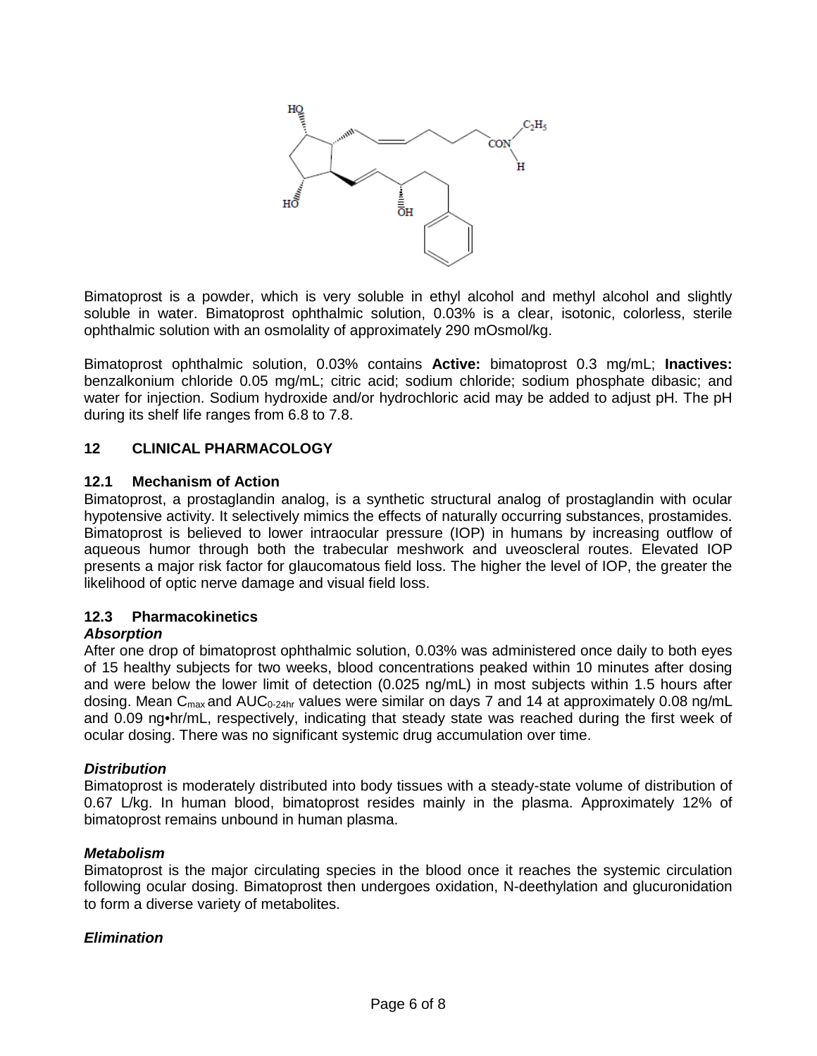

Bimatoprost is a powder, which is very soluble in ethyl alcohol and methyl alcohol and slightly soluble in water. Bimatoprost ophthalmic solution, 0.03% is a clear, isotonic, colorless, sterile ophthalmic solution with an osmolality of approximately 290 mOsmol/kg.

Bimatoprost ophthalmic solution, 0.03% contains **Active:** bimatoprost 0.3 mg/mL; **Inactives:** benzalkonium chloride 0.05 mg/mL; citric acid; sodium chloride; sodium phosphate dibasic; and water for injection. Sodium hydroxide and/or hydrochloric acid may be added to adjust pH. The pH during its shelf life ranges from 6.8 to 7.8.

# <span id="page-5-0"></span>**12 CLINICAL PHARMACOLOGY**

#### <span id="page-5-1"></span>**12.1 Mechanism of Action**

Bimatoprost, a prostaglandin analog, is a synthetic structural analog of prostaglandin with ocular hypotensive activity. It selectively mimics the effects of naturally occurring substances, prostamides. Bimatoprost is believed to lower intraocular pressure (IOP) in humans by increasing outflow of aqueous humor through both the trabecular meshwork and uveoscleral routes. Elevated IOP presents a major risk factor for glaucomatous field loss. The higher the level of IOP, the greater the likelihood of optic nerve damage and visual field loss.

## <span id="page-5-2"></span>**12.3 Pharmacokinetics**

#### *Absorption*

After one drop of bimatoprost ophthalmic solution, 0.03% was administered once daily to both eyes of 15 healthy subjects for two weeks, blood concentrations peaked within 10 minutes after dosing and were below the lower limit of detection (0.025 ng/mL) in most subjects within 1.5 hours after dosing. Mean  $C_{\text{max}}$  and AUC<sub>0-24hr</sub> values were similar on days 7 and 14 at approximately 0.08 ng/mL and 0.09 ng•hr/mL, respectively, indicating that steady state was reached during the first week of ocular dosing. There was no significant systemic drug accumulation over time.

## *Distribution*

Bimatoprost is moderately distributed into body tissues with a steady-state volume of distribution of 0.67 L/kg. In human blood, bimatoprost resides mainly in the plasma. Approximately 12% of bimatoprost remains unbound in human plasma.

#### *Metabolism*

Bimatoprost is the major circulating species in the blood once it reaches the systemic circulation following ocular dosing. Bimatoprost then undergoes oxidation, N-deethylation and glucuronidation to form a diverse variety of metabolites.

## *Elimination*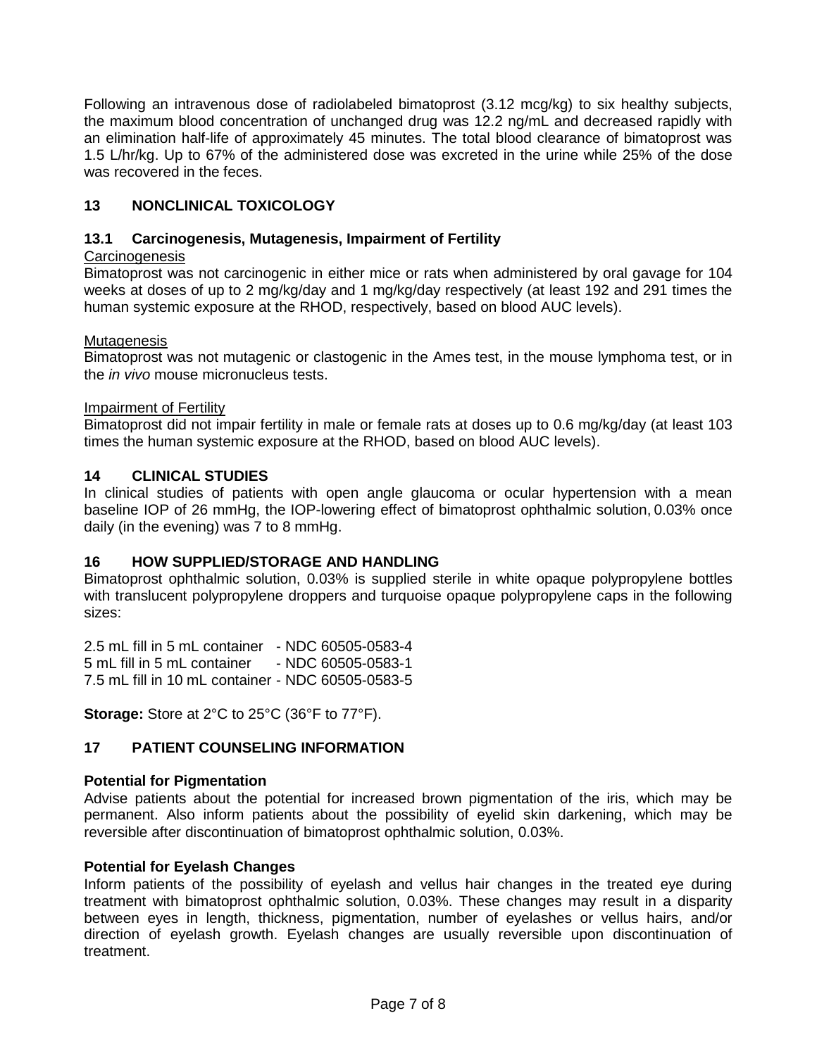Following an intravenous dose of radiolabeled bimatoprost (3.12 mcg/kg) to six healthy subjects, the maximum blood concentration of unchanged drug was 12.2 ng/mL and decreased rapidly with an elimination half-life of approximately 45 minutes. The total blood clearance of bimatoprost was 1.5 L/hr/kg. Up to 67% of the administered dose was excreted in the urine while 25% of the dose was recovered in the feces.

# <span id="page-6-1"></span>**13 NONCLINICAL TOXICOLOGY**

## <span id="page-6-2"></span>**13.1 Carcinogenesis, Mutagenesis, Impairment of Fertility**

# **Carcinogenesis**

Bimatoprost was not carcinogenic in either mice or rats when administered by oral gavage for 104 weeks at doses of up to 2 mg/kg/day and 1 mg/kg/day respectively (at least 192 and 291 times the human systemic exposure at the RHOD, respectively, based on blood AUC levels).

## Mutagenesis

Bimatoprost was not mutagenic or clastogenic in the Ames test, in the mouse lymphoma test, or in the *in vivo* mouse micronucleus tests.

#### Impairment of Fertility

Bimatoprost did not impair fertility in male or female rats at doses up to 0.6 mg/kg/day (at least 103 times the human systemic exposure at the RHOD, based on blood AUC levels).

## <span id="page-6-3"></span>**14 CLINICAL STUDIES**

In clinical studies of patients with open angle glaucoma or ocular hypertension with a mean baseline IOP of 26 mmHg, the IOP-lowering effect of bimatoprost ophthalmic solution, 0.03% once daily (in the evening) was 7 to 8 mmHg.

## <span id="page-6-4"></span>**16 HOW SUPPLIED/STORAGE AND HANDLING**

Bimatoprost ophthalmic solution, 0.03% is supplied sterile in white opaque polypropylene bottles with translucent polypropylene droppers and turquoise opaque polypropylene caps in the following sizes:

2.5 mL fill in 5 mL container - NDC 60505-0583-4 5 mL fill in 5 mL container 7.5 mL fill in 10 mL container - NDC 60505-0583-5

**Storage:** Store at 2°C to 25°C (36°F to 77°F).

## <span id="page-6-0"></span>**17 PATIENT COUNSELING INFORMATION**

## **Potential for Pigmentation**

Advise patients about the potential for increased brown pigmentation of the iris, which may be permanent. Also inform patients about the possibility of eyelid skin darkening, which may be reversible after discontinuation of bimatoprost ophthalmic solution, 0.03%.

## **Potential for Eyelash Changes**

Inform patients of the possibility of eyelash and vellus hair changes in the treated eye during treatment with bimatoprost ophthalmic solution, 0.03%. These changes may result in a disparity between eyes in length, thickness, pigmentation, number of eyelashes or vellus hairs, and/or direction of eyelash growth. Eyelash changes are usually reversible upon discontinuation of treatment.